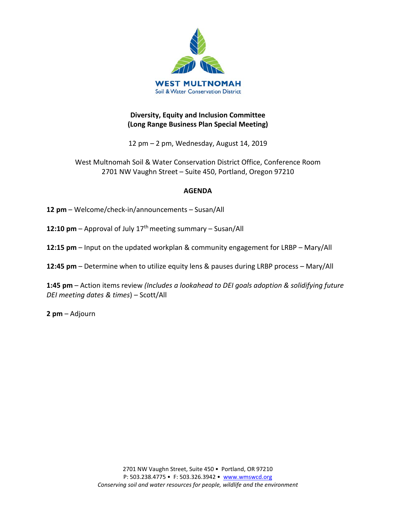

# **Diversity, Equity and Inclusion Committee (Long Range Business Plan Special Meeting)**

12 pm – 2 pm, Wednesday, August 14, 2019

West Multnomah Soil & Water Conservation District Office, Conference Room 2701 NW Vaughn Street – Suite 450, Portland, Oregon 97210

#### **AGENDA**

**12 pm** – Welcome/check-in/announcements – Susan/All

**12:10 pm** – Approval of July 17<sup>th</sup> meeting summary – Susan/All

**12:15 pm** – Input on the updated workplan & community engagement for LRBP – Mary/All

**12:45 pm** – Determine when to utilize equity lens & pauses during LRBP process – Mary/All

**1:45 pm** – Action items review *(Includes a lookahead to DEI goals adoption & solidifying future DEI meeting dates & times*) – Scott/All

**2 pm** – Adjourn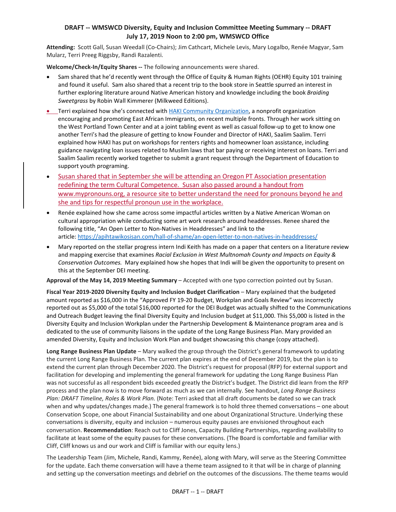#### **DRAFT -- WMSWCD Diversity, Equity and Inclusion Committee Meeting Summary -- DRAFT July 17, 2019 Noon to 2:00 pm, WMSWCD Office**

**Attending:** Scott Gall, Susan Weedall (Co-Chairs); Jim Cathcart, Michele Levis, Mary Logalbo, Renée Magyar, Sam Mularz, Terri Preeg Riggsby, Randi Razalenti.

**Welcome/Check-In/Equity Shares --** The following announcements were shared.

- Sam shared that he'd recently went through the Office of Equity & Human Rights (OEHR) Equity 101 training and found it useful. Sam also shared that a recent trip to the book store in Seattle spurred an interest in further exploring literature around Native American history and knowledge including the book *Braiding Sweetgrass* by Robin Wall Kimmerer (Milkweed Editions).
- Terri explained how she's connected with [HAKI Community Organization,](https://hakicommunity.org/) a nonprofit organization encouraging and promoting East African Immigrants, on recent multiple fronts. Through her work sitting on the West Portland Town Center and at a joint tabling event as well as casual follow-up to get to know one another Terri's had the pleasure of getting to know Founder and Director of HAKI, Saalim Saalim. Terri explained how HAKI has put on workshops for renters rights and homeowner loan assistance, including guidance navigating loan issues related to Muslim laws that bar paying or receiving interest on loans. Terri and Saalim Saalim recently worked together to submit a grant request through the Department of Education to support youth programing.
- Susan shared that in September she will be attending an Oregon PT Association presentation redefining the term Cultural Competence. Susan also passed around a handout from www.mypronouns.org, a resource site to better understand the need for pronouns beyond he and she and tips for respectful pronoun use in the workplace.
- Renée explained how she came across some impactful articles written by a Native American Woman on cultural appropriation while conducting some art work research around headdresses. Renee shared the following title, "An Open Letter to Non-Natives in Headdresses" and link to the article: <https://apihtawikosisan.com/hall-of-shame/an-open-letter-to-non-natives-in-headdresses/>
- Mary reported on the stellar progress intern Indi Keith has made on a paper that centers on a literature review and mapping exercise that examines *Racial Exclusion in West Multnomah County and Impacts on Equity & Conservation Outcomes.* Mary explained how she hopes that Indi will be given the opportunity to present on this at the September DEI meeting.

**Approval of the May 14, 2019 Meeting Summary** – Accepted with one typo correction pointed out by Susan.

**Fiscal Year 2019-2020 Diversity Equity and Inclusion Budget Clarification** – Mary explained that the budgeted amount reported as \$16,000 in the "Approved FY 19-20 Budget, Workplan and Goals Review" was incorrectly reported out as \$5,000 of the total \$16,000 reported for the DEI Budget was actually shifted to the Communications and Outreach Budget leaving the final Diversity Equity and Inclusion budget at \$11,000. This \$5,000 is listed in the Diversity Equity and Inclusion Workplan under the Partnership Development & Maintenance program area and is dedicated to the use of community liaisons in the update of the Long Range Business Plan. Mary provided an amended Diversity, Equity and Inclusion Work Plan and budget showcasing this change (copy attached).

**Long Range Business Plan Update** – Mary walked the group through the District's general framework to updating the current Long Range Business Plan. The current plan expires at the end of December 2019, but the plan is to extend the current plan through December 2020. The District's request for proposal (RFP) for external support and facilitation for developing and implementing the general framework for updating the Long Range Business Plan was not successful as all respondent bids exceeded greatly the District's budget. The District did learn from the RFP process and the plan now is to move forward as much as we can internally. See handout, *Long Range Business Plan: DRAFT Timeline, Roles & Work Plan.* (Note: Terri asked that all draft documents be dated so we can track when and why updates/changes made.) The general framework is to hold three themed conversations – one about Conservation Scope, one about Financial Sustainability and one about Organizational Structure. Underlying these conversations is diversity, equity and inclusion – numerous equity pauses are envisioned throughout each conversation. **Recommendation**: Reach out to Cliff Jones, Capacity Building Partnerships, regarding availability to facilitate at least some of the equity pauses for these conversations. (The Board is comfortable and familiar with Cliff, Cliff knows us and our work and Cliff is familiar with our equity lens.)

The Leadership Team (Jim, Michele, Randi, Kammy, Renée), along with Mary, will serve as the Steering Committee for the update. Each theme conversation will have a theme team assigned to it that will be in charge of planning and setting up the conversation meetings and debrief on the outcomes of the discussions. The theme teams would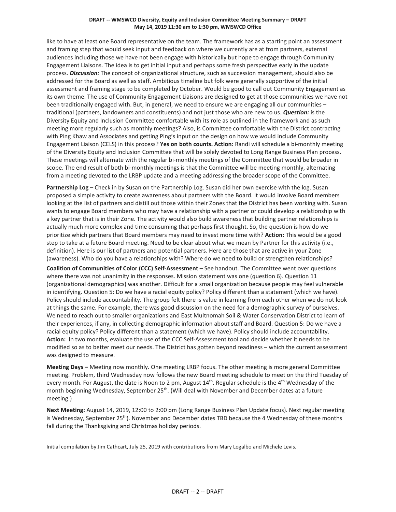#### **DRAFT -- WMSWCD Diversity, Equity and Inclusion Committee Meeting Summary – DRAFT May 14, 2019 11:30 am to 1:30 pm, WMSWCD Office**

like to have at least one Board representative on the team. The framework has as a starting point an assessment and framing step that would seek input and feedback on where we currently are at from partners, external audiences including those we have not been engage with historically but hope to engage through Community Engagement Liaisons. The idea is to get initial input and perhaps some fresh perspective early in the update process. *Discussion:* The concept of organizational structure, such as succession management, should also be addressed for the Board as well as staff. Ambitious timeline but folk were generally supportive of the initial assessment and framing stage to be completed by October. Would be good to call out Community Engagement as its own theme. The use of Community Engagement Liaisons are designed to get at those communities we have not been traditionally engaged with. But, in general, we need to ensure we are engaging all our communities – traditional (partners, landowners and constituents) and not just those who are new to us. *Question:* is the Diversity Equity and Inclusion Committee comfortable with its role as outlined in the framework and as such meeting more regularly such as monthly meetings? Also, is Committee comfortable with the District contracting with Ping Khaw and Associates and getting Ping's input on the design on how we would include Community Engagement Liaison (CELS) in this process? **Yes on both counts. Action:** Randi will schedule a bi-monthly meeting of the Diversity Equity and Inclusion Committee that will be solely devoted to Long Range Business Plan process. These meetings will alternate with the regular bi-monthly meetings of the Committee that would be broader in scope. The end result of both bi-monthly meetings is that the Committee will be meeting monthly, alternating from a meeting devoted to the LRBP update and a meeting addressing the broader scope of the Committee.

**Partnership Log** – Check in by Susan on the Partnership Log. Susan did her own exercise with the log. Susan proposed a simple activity to create awareness about partners with the Board. It would involve Board members looking at the list of partners and distill out those within their Zones that the District has been working with. Susan wants to engage Board members who may have a relationship with a partner or could develop a relationship with a key partner that is in their Zone. The activity would also build awareness that building partner relationships is actually much more complex and time consuming that perhaps first thought. So, the question is how do we prioritize which partners that Board members may need to invest more time with? **Action:** This would be a good step to take at a future Board meeting. Need to be clear about what we mean by Partner for this activity (i.e., definition). Here is our list of partners and potential partners. Here are those that are active in your Zone (awareness). Who do you have a relationships with? Where do we need to build or strengthen relationships?

**Coalition of Communities of Color (CCC) Self-Assessment** – See handout. The Committee went over questions where there was not unanimity in the responses. Mission statement was one (question 6). Question 11 (organizational demographics) was another. Difficult for a small organization because people may feel vulnerable in identifying. Question 5: Do we have a racial equity policy? Policy different than a statement (which we have). Policy should include accountability. The group felt there is value in learning from each other when we do not look at things the same. For example, there was good discussion on the need for a demographic survey of ourselves. We need to reach out to smaller organizations and East Multnomah Soil & Water Conservation District to learn of their experiences, if any, in collecting demographic information about staff and Board. Question 5: Do we have a racial equity policy? Policy different than a statement (which we have). Policy should include accountability. **Action: I**n two months, evaluate the use of the CCC Self-Assessment tool and decide whether it needs to be modified so as to better meet our needs. The District has gotten beyond readiness – which the current assessment was designed to measure.

**Meeting Days –** Meeting now monthly. One meeting LRBP focus. The other meeting is more general Committee meeting. Problem, third Wednesday now follows the new Board meeting schedule to meet on the third Tuesday of every month. For August, the date is Noon to 2 pm, August 14<sup>th</sup>. Regular schedule is the 4<sup>th</sup> Wednesday of the month beginning Wednesday, September 25<sup>th</sup>. (Will deal with November and December dates at a future meeting.)

**Next Meeting:** August 14, 2019, 12:00 to 2:00 pm (Long Range Business Plan Update focus). Next regular meeting is Wednesday, September 25<sup>th</sup>). November and December dates TBD because the 4 Wednesday of these months fall during the Thanksgiving and Christmas holiday periods.

Initial compilation by Jim Cathcart, July 25, 2019 with contributions from Mary Logalbo and Michele Levis.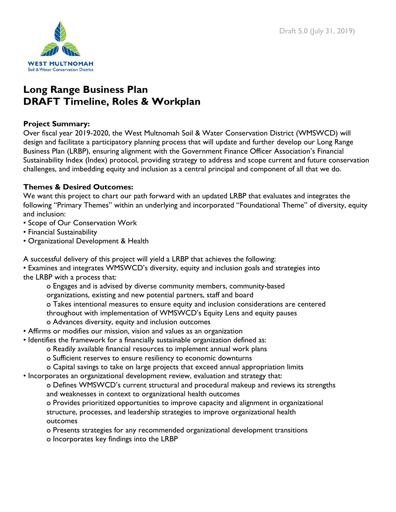

# **Long Range Business Plan DRAFT Timeline, Roles & Workplan**

# **Project Summary:**

Over fiscal year 2019-2020, the West Multnomah Soil & Water Conservation District (WMSWCD) will design and facilitate a participatory planning process that will update and further develop our Long Range Business Plan (LRBP), ensuring alignment with the Government Finance Officer Association's Financial Sustainability Index (Index) protocol, providing strategy to address and scope current and future conservation challenges, and imbedding equity and inclusion as a central principal and component of all that we do.

# **Themes & Desired Outcomes:**

We want this project to chart our path forward with an updated LRBP that evaluates and integrates the following "Primary Themes" within an underlying and incorporated "Foundational Theme" of diversity, equity and inclusion:

- Scope of Our Conservation Work
- Financial Sustainability
- Organizational Development & Health

A successful delivery of this project will yield a LRBP that achieves the following:

• Examines and integrates WMSWCD's diversity, equity and inclusion goals and strategies into the LRBP with a process that:

o Engages and is advised by diverse community members, community-based organizations, existing and new potential partners, staff and board o Takes intentional measures to ensure equity and inclusion considerations are centered throughout with implementation of WMSWCD's Equity Lens and equity pauses o Advances diversity, equity and inclusion outcomes

- Affirms or modifies our mission, vision and values as an organization
- Identifies the framework for a financially sustainable organization defined as:
	- o Readily available financial resources to implement annual work plans
	- o Sufficient reserves to ensure resiliency to economic downturns
	- o Capital savings to take on large projects that exceed annual appropriation limits
- Incorporates an organizational development review, evaluation and strategy that:

o Defines WMSWCD's current structural and procedural makeup and reviews its strengths and weaknesses in context to organizational health outcomes

o Provides prioritized opportunities to improve capacity and alignment in organizational structure, processes, and leadership strategies to improve organizational health outcomes

- o Presents strategies for any recommended organizational development transitions
- o Incorporates key findings into the LRBP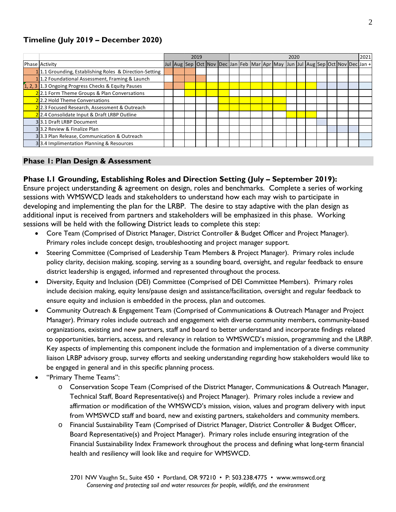# **Timeline (July 2019 – December 2020)**

|                                                        | 2019 |  |  |  |  |  |  | 2021<br>2020 |  |  |                                                                               |  |  |  |  |  |  |  |  |
|--------------------------------------------------------|------|--|--|--|--|--|--|--------------|--|--|-------------------------------------------------------------------------------|--|--|--|--|--|--|--|--|
| Phase Activity                                         |      |  |  |  |  |  |  |              |  |  | Jul Aug Sep Oct Nov Dec Jan Feb Mar Apr May Jun Jul Aug Sep Oct Nov Dec Jan + |  |  |  |  |  |  |  |  |
| 11.1 Grounding, Establishing Roles & Direction-Setting |      |  |  |  |  |  |  |              |  |  |                                                                               |  |  |  |  |  |  |  |  |
| 11.2 Foundational Assessment, Framing & Launch         |      |  |  |  |  |  |  |              |  |  |                                                                               |  |  |  |  |  |  |  |  |
| 1, 2, 3 1.3 Ongoing Progress Checks & Equity Pauses    |      |  |  |  |  |  |  |              |  |  |                                                                               |  |  |  |  |  |  |  |  |
| 22.1 Form Theme Groups & Plan Conversations            |      |  |  |  |  |  |  |              |  |  |                                                                               |  |  |  |  |  |  |  |  |
| 22.2 Hold Theme Conversations                          |      |  |  |  |  |  |  |              |  |  |                                                                               |  |  |  |  |  |  |  |  |
| 22.3 Focused Research, Assessment & Outreach           |      |  |  |  |  |  |  |              |  |  |                                                                               |  |  |  |  |  |  |  |  |
| 22.4 Consolidate Input & Draft LRBP Outline            |      |  |  |  |  |  |  |              |  |  |                                                                               |  |  |  |  |  |  |  |  |
| 33.1 Draft LRBP Document                               |      |  |  |  |  |  |  |              |  |  |                                                                               |  |  |  |  |  |  |  |  |
| 33.2 Review & Finalize Plan                            |      |  |  |  |  |  |  |              |  |  |                                                                               |  |  |  |  |  |  |  |  |
| 33.3 Plan Release, Communication & Outreach            |      |  |  |  |  |  |  |              |  |  |                                                                               |  |  |  |  |  |  |  |  |
| 33.4 Implimentation Planning & Resources               |      |  |  |  |  |  |  |              |  |  |                                                                               |  |  |  |  |  |  |  |  |

#### **Phase 1: Plan Design & Assessment**

#### **Phase I.1 Grounding, Establishing Roles and Direction Setting (July – September 2019):**

Ensure project understanding & agreement on design, roles and benchmarks. Complete a series of working sessions with WMSWCD leads and stakeholders to understand how each may wish to participate in developing and implementing the plan for the LRBP. The desire to stay adaptive with the plan design as additional input is received from partners and stakeholders will be emphasized in this phase. Working sessions will be held with the following District leads to complete this step:

- Core Team (Comprised of District Manager, District Controller & Budget Officer and Project Manager). Primary roles include concept design, troubleshooting and project manager support.
- Steering Committee (Comprised of Leadership Team Members & Project Manager). Primary roles include policy clarity, decision making, scoping, serving as a sounding board, oversight, and regular feedback to ensure district leadership is engaged, informed and represented throughout the process.
- Diversity, Equity and Inclusion (DEI) Committee (Comprised of DEI Committee Members). Primary roles include decision making, equity lens/pause design and assistance/facilitation, oversight and regular feedback to ensure equity and inclusion is embedded in the process, plan and outcomes.
- Community Outreach & Engagement Team (Comprised of Communications & Outreach Manager and Project Manager). Primary roles include outreach and engagement with diverse community members, community-based organizations, existing and new partners, staff and board to better understand and incorporate findings related to opportunities, barriers, access, and relevancy in relation to WMSWCD's mission, programming and the LRBP. Key aspects of implementing this component include the formation and implementation of a diverse community liaison LRBP advisory group, survey efforts and seeking understanding regarding how stakeholders would like to be engaged in general and in this specific planning process.
- "Primary Theme Teams":
	- o Conservation Scope Team (Comprised of the District Manager, Communications & Outreach Manager, Technical Staff, Board Representative(s) and Project Manager). Primary roles include a review and affirmation or modification of the WMSWCD's mission, vision, values and program delivery with input from WMSWCD staff and board, new and existing partners, stakeholders and community members.
	- o Financial Sustainability Team (Comprised of District Manager, District Controller & Budget Officer, Board Representative(s) and Project Manager). Primary roles include ensuring integration of the Financial Sustainability Index Framework throughout the process and defining what long-term financial health and resiliency will look like and require for WMSWCD.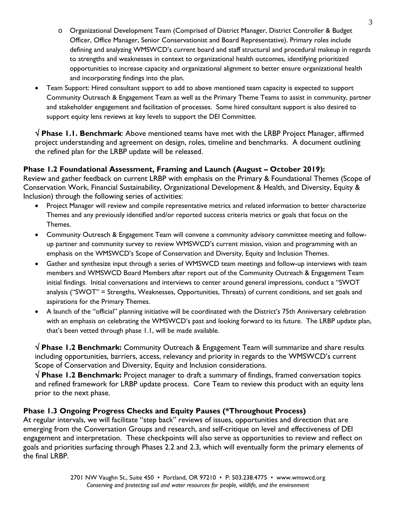- o Organizational Development Team (Comprised of District Manager, District Controller & Budget Officer, Office Manager, Senior Conservationist and Board Representative). Primary roles include defining and analyzing WMSWCD's current board and staff structural and procedural makeup in regards to strengths and weaknesses in context to organizational health outcomes, identifying prioritized opportunities to increase capacity and organizational alignment to better ensure organizational health and incorporating findings into the plan.
- Team Support: Hired consultant support to add to above mentioned team capacity is expected to support Community Outreach & Engagement Team as well as the Primary Theme Teams to assist in community, partner and stakeholder engagement and facilitation of processes. Some hired consultant support is also desired to support equity lens reviews at key levels to support the DEI Committee.

√ **Phase 1.1. Benchmark**: Above mentioned teams have met with the LRBP Project Manager, affirmed project understanding and agreement on design, roles, timeline and benchmarks. A document outlining the refined plan for the LRBP update will be released.

# **Phase 1.2 Foundational Assessment, Framing and Launch (August – October 2019):**

Review and gather feedback on current LRBP with emphasis on the Primary & Foundational Themes (Scope of Conservation Work, Financial Sustainability, Organizational Development & Health, and Diversity, Equity & Inclusion) through the following series of activities:

- Project Manager will review and compile representative metrics and related information to better characterize Themes and any previously identified and/or reported success criteria metrics or goals that focus on the Themes.
- Community Outreach & Engagement Team will convene a community advisory committee meeting and followup partner and community survey to review WMSWCD's current mission, vision and programming with an emphasis on the WMSWCD's Scope of Conservation and Diversity, Equity and Inclusion Themes.
- Gather and synthesize input through a series of WMSWCD team meetings and follow-up interviews with team members and WMSWCD Board Members after report out of the Community Outreach & Engagement Team initial findings. Initial conversations and interviews to center around general impressions, conduct a "SWOT analysis ("SWOT" = Strengths, Weaknesses, Opportunities, Threats) of current conditions, and set goals and aspirations for the Primary Themes.
- A launch of the "official" planning initiative will be coordinated with the District's 75th Anniversary celebration with an emphasis on celebrating the WMSWCD's past and looking forward to its future. The LRBP update plan, that's been vetted through phase 1.1, will be made available.

√ **Phase 1.2 Benchmark:** Community Outreach & Engagement Team will summarize and share results including opportunities, barriers, access, relevancy and priority in regards to the WMSWCD's current Scope of Conservation and Diversity, Equity and Inclusion considerations.

√ **Phase 1.2 Benchmark:** Project manager to draft a summary of findings, framed conversation topics and refined framework for LRBP update process. Core Team to review this product with an equity lens prior to the next phase.

# **Phase 1.3 Ongoing Progress Checks and Equity Pauses (\*Throughout Process)**

At regular intervals, we will facilitate "step back" reviews of issues, opportunities and direction that are emerging from the Conversation Groups and research, and self-critique on level and effectiveness of DEI engagement and interpretation. These checkpoints will also serve as opportunities to review and reflect on goals and priorities surfacing through Phases 2.2 and 2.3, which will eventually form the primary elements of the final LRBP.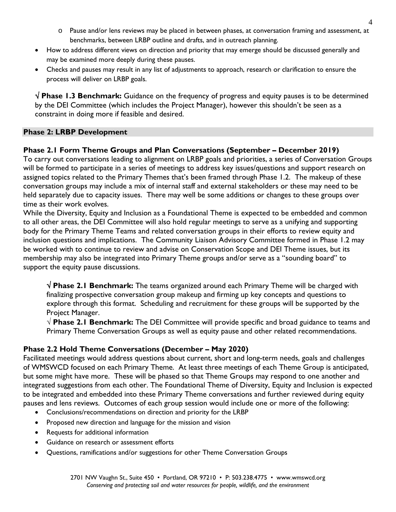- o Pause and/or lens reviews may be placed in between phases, at conversation framing and assessment, at benchmarks, between LRBP outline and drafts, and in outreach planning.
- How to address different views on direction and priority that may emerge should be discussed generally and may be examined more deeply during these pauses.
- Checks and pauses may result in any list of adjustments to approach, research or clarification to ensure the process will deliver on LRBP goals.

√ **Phase 1.3 Benchmark:** Guidance on the frequency of progress and equity pauses is to be determined by the DEI Committee (which includes the Project Manager), however this shouldn't be seen as a constraint in doing more if feasible and desired.

## **Phase 2: LRBP Development**

**Phase 2.1 Form Theme Groups and Plan Conversations (September – December 2019)**  To carry out conversations leading to alignment on LRBP goals and priorities, a series of Conversation Groups will be formed to participate in a series of meetings to address key issues/questions and support research on

assigned topics related to the Primary Themes that's been framed through Phase 1.2. The makeup of these conversation groups may include a mix of internal staff and external stakeholders or these may need to be held separately due to capacity issues. There may well be some additions or changes to these groups over time as their work evolves.

While the Diversity, Equity and Inclusion as a Foundational Theme is expected to be embedded and common to all other areas, the DEI Committee will also hold regular meetings to serve as a unifying and supporting body for the Primary Theme Teams and related conversation groups in their efforts to review equity and inclusion questions and implications. The Community Liaison Advisory Committee formed in Phase 1.2 may be worked with to continue to review and advise on Conservation Scope and DEI Theme issues, but its membership may also be integrated into Primary Theme groups and/or serve as a "sounding board" to support the equity pause discussions.

√ **Phase 2.1 Benchmark:** The teams organized around each Primary Theme will be charged with finalizing prospective conversation group makeup and firming up key concepts and questions to explore through this format. Scheduling and recruitment for these groups will be supported by the Project Manager.

√ **Phase 2.1 Benchmark:** The DEI Committee will provide specific and broad guidance to teams and Primary Theme Conversation Groups as well as equity pause and other related recommendations.

# **Phase 2.2 Hold Theme Conversations (December – May 2020)**

Facilitated meetings would address questions about current, short and long-term needs, goals and challenges of WMSWCD focused on each Primary Theme. At least three meetings of each Theme Group is anticipated, but some might have more. These will be phased so that Theme Groups may respond to one another and integrated suggestions from each other. The Foundational Theme of Diversity, Equity and Inclusion is expected to be integrated and embedded into these Primary Theme conversations and further reviewed during equity pauses and lens reviews. Outcomes of each group session would include one or more of the following:

- Conclusions/recommendations on direction and priority for the LRBP
- Proposed new direction and language for the mission and vision
- Requests for additional information
- Guidance on research or assessment efforts
- Questions, ramifications and/or suggestions for other Theme Conversation Groups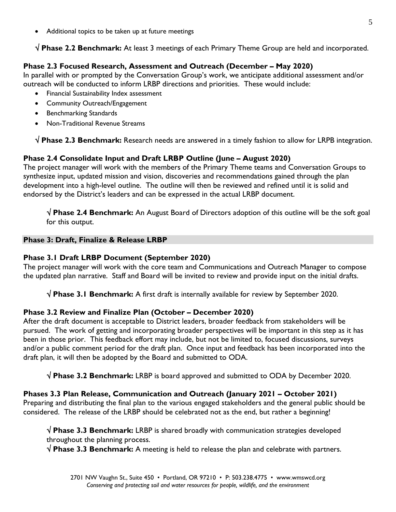Additional topics to be taken up at future meetings

√ **Phase 2.2 Benchmark:** At least 3 meetings of each Primary Theme Group are held and incorporated.

# **Phase 2.3 Focused Research, Assessment and Outreach (December – May 2020)**

In parallel with or prompted by the Conversation Group's work, we anticipate additional assessment and/or outreach will be conducted to inform LRBP directions and priorities. These would include:

- Financial Sustainability Index assessment
- Community Outreach/Engagement
- Benchmarking Standards
- Non-Traditional Revenue Streams

√ **Phase 2.3 Benchmark:** Research needs are answered in a timely fashion to allow for LRPB integration.

# **Phase 2.4 Consolidate Input and Draft LRBP Outline (June – August 2020)**

The project manager will work with the members of the Primary Theme teams and Conversation Groups to synthesize input, updated mission and vision, discoveries and recommendations gained through the plan development into a high-level outline. The outline will then be reviewed and refined until it is solid and endorsed by the District's leaders and can be expressed in the actual LRBP document.

√ **Phase 2.4 Benchmark:** An August Board of Directors adoption of this outline will be the soft goal for this output.

#### **Phase 3: Draft, Finalize & Release LRBP**

#### **Phase 3.1 Draft LRBP Document (September 2020)**

The project manager will work with the core team and Communications and Outreach Manager to compose the updated plan narrative. Staff and Board will be invited to review and provide input on the initial drafts.

√ **Phase 3.1 Benchmark:** A first draft is internally available for review by September 2020.

#### **Phase 3.2 Review and Finalize Plan (October – December 2020)**

After the draft document is acceptable to District leaders, broader feedback from stakeholders will be pursued. The work of getting and incorporating broader perspectives will be important in this step as it has been in those prior. This feedback effort may include, but not be limited to, focused discussions, surveys and/or a public comment period for the draft plan. Once input and feedback has been incorporated into the draft plan, it will then be adopted by the Board and submitted to ODA.

√ **Phase 3.2 Benchmark:** LRBP is board approved and submitted to ODA by December 2020.

#### **Phases 3.3 Plan Release, Communication and Outreach (January 2021 – October 2021)**

Preparing and distributing the final plan to the various engaged stakeholders and the general public should be considered. The release of the LRBP should be celebrated not as the end, but rather a beginning!

√ **Phase 3.3 Benchmark:** LRBP is shared broadly with communication strategies developed throughout the planning process.

√ **Phase 3.3 Benchmark:** A meeting is held to release the plan and celebrate with partners.